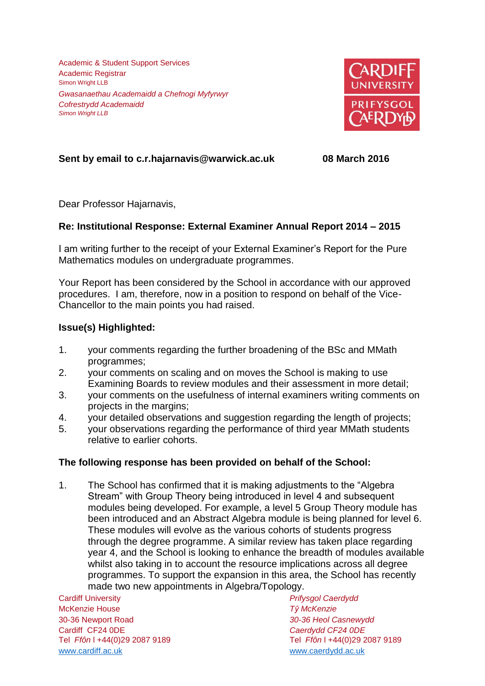Academic & Student Support Services Academic Registrar Simon Wright LLB *Gwasanaethau Academaidd a Chefnogi Myfyrwyr Cofrestrydd Academaidd Simon Wright LLB*



# **Sent by email to c.r.hajarnavis@warwick.ac.uk 08 March 2016**

Dear Professor Hajarnavis,

## **Re: Institutional Response: External Examiner Annual Report 2014 – 2015**

I am writing further to the receipt of your External Examiner's Report for the Pure Mathematics modules on undergraduate programmes.

Your Report has been considered by the School in accordance with our approved procedures. I am, therefore, now in a position to respond on behalf of the Vice-Chancellor to the main points you had raised.

## **Issue(s) Highlighted:**

- 1. your comments regarding the further broadening of the BSc and MMath programmes;
- 2. your comments on scaling and on moves the School is making to use Examining Boards to review modules and their assessment in more detail;
- 3. your comments on the usefulness of internal examiners writing comments on projects in the margins;
- 4. your detailed observations and suggestion regarding the length of projects;
- 5. your observations regarding the performance of third year MMath students relative to earlier cohorts.

## **The following response has been provided on behalf of the School:**

1. The School has confirmed that it is making adjustments to the "Algebra Stream" with Group Theory being introduced in level 4 and subsequent modules being developed. For example, a level 5 Group Theory module has been introduced and an Abstract Algebra module is being planned for level 6. These modules will evolve as the various cohorts of students progress through the degree programme. A similar review has taken place regarding year 4, and the School is looking to enhance the breadth of modules available whilst also taking in to account the resource implications across all degree programmes. To support the expansion in this area, the School has recently made two new appointments in Algebra/Topology.

Cardiff University *Prifysgol Caerdydd* McKenzie House *Tŷ McKenzie* 30-36 Newport Road *30-36 Heol Casnewydd* Cardiff CF24 0DE *Caerdydd CF24 0DE* [www.cardiff.ac.uk](http://www.cardiff.ac.uk/) www.cardiff.ac.uk

Tel *Ffôn* l +44(0)29 2087 9189 Tel *Ffôn* l +44(0)29 2087 9189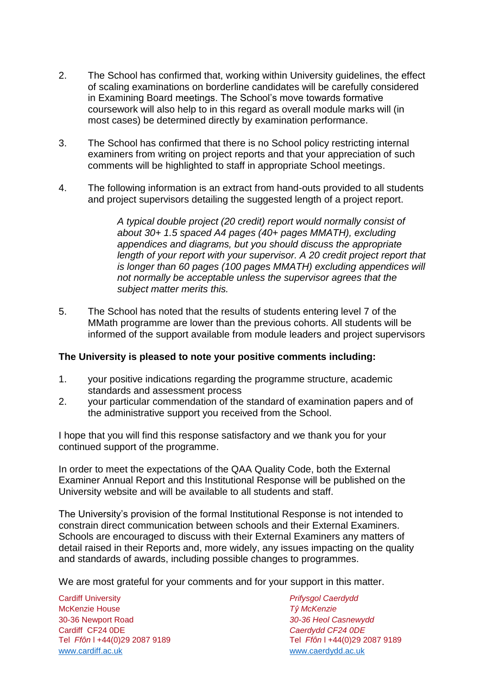- 2. The School has confirmed that, working within University guidelines, the effect of scaling examinations on borderline candidates will be carefully considered in Examining Board meetings. The School's move towards formative coursework will also help to in this regard as overall module marks will (in most cases) be determined directly by examination performance.
- 3. The School has confirmed that there is no School policy restricting internal examiners from writing on project reports and that your appreciation of such comments will be highlighted to staff in appropriate School meetings.
- 4. The following information is an extract from hand-outs provided to all students and project supervisors detailing the suggested length of a project report.

*A typical double project (20 credit) report would normally consist of about 30+ 1.5 spaced A4 pages (40+ pages MMATH), excluding appendices and diagrams, but you should discuss the appropriate length of your report with your supervisor. A 20 credit project report that is longer than 60 pages (100 pages MMATH) excluding appendices will not normally be acceptable unless the supervisor agrees that the subject matter merits this.*

5. The School has noted that the results of students entering level 7 of the MMath programme are lower than the previous cohorts. All students will be informed of the support available from module leaders and project supervisors

### **The University is pleased to note your positive comments including:**

- 1. your positive indications regarding the programme structure, academic standards and assessment process
- 2. your particular commendation of the standard of examination papers and of the administrative support you received from the School.

I hope that you will find this response satisfactory and we thank you for your continued support of the programme.

In order to meet the expectations of the QAA Quality Code, both the External Examiner Annual Report and this Institutional Response will be published on the University website and will be available to all students and staff.

The University's provision of the formal Institutional Response is not intended to constrain direct communication between schools and their External Examiners. Schools are encouraged to discuss with their External Examiners any matters of detail raised in their Reports and, more widely, any issues impacting on the quality and standards of awards, including possible changes to programmes.

We are most grateful for your comments and for your support in this matter.

Cardiff University *Prifysgol Caerdydd* McKenzie House *Tŷ McKenzie* 30-36 Newport Road *30-36 Heol Casnewydd* Tel *Ffôn* l +44(0)29 2087 9189 Tel *Ffôn* l +44(0)29 2087 9189 [www.cardiff.ac.uk](http://www.cardiff.ac.uk/) [www.caerdydd.ac.uk](http://www.caerdydd.ac.uk/)

Cardiff CF24 0DE *Caerdydd CF24 0DE*